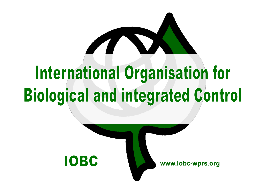# **International Organisation for Biological and integrated Control**

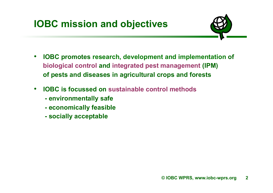

- **IOBC promotes research, development and implementation of biological control and integrated pest management (IPM) of pests and diseases in agricultural crops and forests**
- **IOBC is focussed on sustainable control methods**
	- **environmentally safe**
	- **economically feasible**
	- **socially acceptable**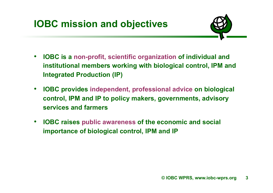

- **IOBC is a non-profit, scientific organization of individual and institutional members working with biological control, IPM and Integrated Production (IP)**
- **IOBC provides independent, professional advice on biological control, IPM and IP to policy makers, governments, advisory services and farmers**
- **IOBC raises public awareness of the economic and social importance of biological control, IPM and IP**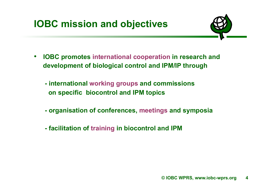

- **IOBC promotes international cooperation in research and development of biological control and IPM/IP through** 
	- **international working groups and commissions on specific biocontrol and IPM topics**
	- **organisation of conferences, meetings and symposia**
	- **facilitation of training in biocontrol and IPM**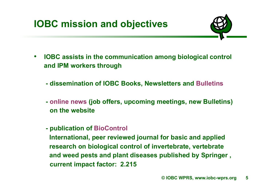

- **IOBC assists in the communication among biological control and IPM workers through** 
	- **dissemination of IOBC Books, Newsletters and Bulletins**
	- **online news (job offers, upcoming meetings, new Bulletins) on the website**
	- **publication of BioControl**

 **International, peer reviewed journal for basic and applied research on biological control of invertebrate, vertebrate and weed pests and plant diseases published by Springer , current impact factor: 2.215**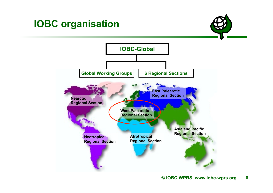## **IOBC organisation**

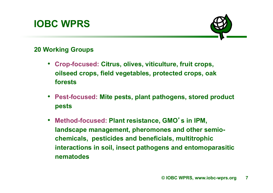## **IOBC WPRS**



#### **20 Working Groups**

- **Crop-focused: Citrus, olives, viticulture, fruit crops, oilseed crops, field vegetables, protected crops, oak forests**
- **Pest-focused: Mite pests, plant pathogens, stored product pests**
- **Method-focused: Plant resistance, GMO**'**s in IPM, landscape management, pheromones and other semiochemicals, pesticides and beneficials, multitrophic interactions in soil, insect pathogens and entomoparasitic nematodes**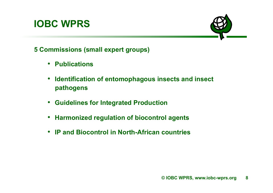### **IOBC WPRS**



**5 Commissions (small expert groups)** 

- **Publications**
- **Identification of entomophagous insects and insect pathogens**
- **Guidelines for Integrated Production**
- **Harmonized regulation of biocontrol agents**
- **IP and Biocontrol in North-African countries**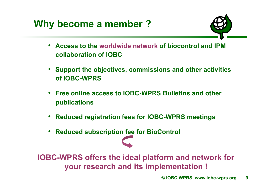

- **Access to the worldwide network of biocontrol and IPM collaboration of IOBC**
- **Support the objectives, commissions and other activities of IOBC-WPRS**
- **Free online access to IOBC-WPRS Bulletins and other publications**
- **Reduced registration fees for IOBC-WPRS meetings**
- **Reduced subscription fee for BioControl**

**IOBC-WPRS offers the ideal platform and network for your research and its implementation !**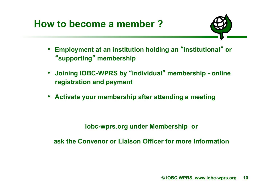**How to become a member ?** 



- **Employment at an institution holding an** "**institutional**"  **or**  "**supporting**" **membership**
- **Joining IOBC-WPRS by** "**individual**" **membership online registration and payment**
- **Activate your membership after attending a meeting**

**iobc-wprs.org under Membership or** 

**ask the Convenor or Liaison Officer for more information**